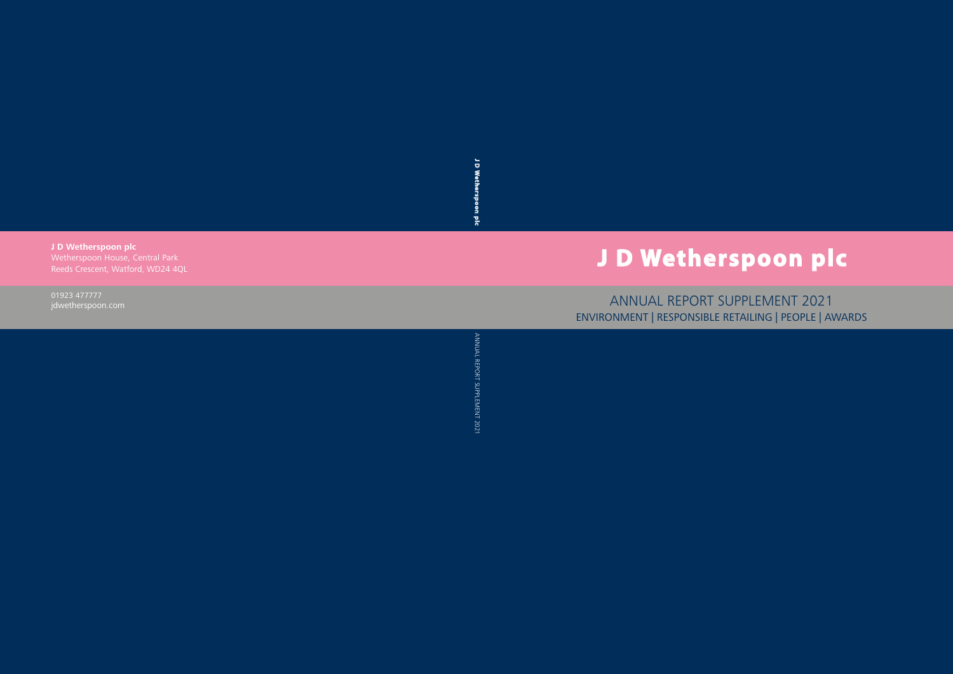J D Wetherspoon **J D Wetherspoon plc**  $\frac{1}{2}$ 

**J D Wetherspoon plc**  Wetherspoon House, Central Park Reeds Crescent, Watford, WD24 4QL

> ANNUAL REPORT SUPPLEMENT 2021 ANNUAL REPORT SUPPLEMENT 2021

01923 477777 jdwetherspoon.com

# **J D Wetherspoon plc**

ANNUAL REPORT SUPPLEMENT 2021 ENVIRONMENT | RESPONSIBLE RETAILING | PEOPLE | AWARDS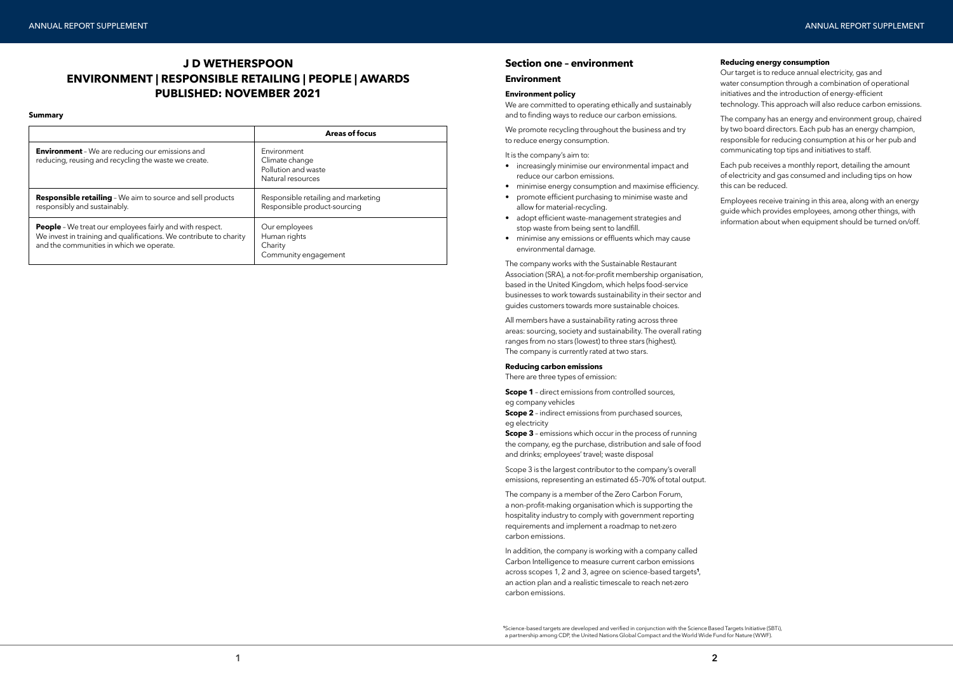#### **Summary**

### **Section one – environment**

### **Environment**

### **Environment policy**

We promote recycling throughout the business and try to reduce energy consumption.

We are committed to operating ethically and sustainably and to finding ways to reduce our carbon emissions.

It is the company's aim to:

- increasingly minimise our environmental impact and reduce our carbon emissions.
- minimise energy consumption and maximise efficiency.
- promote efficient purchasing to minimise waste and allow for material-recycling.
- adopt efficient waste-management strategies and stop waste from being sent to landfill.
- minimise any emissions or effluents which may cause environmental damage.

**Scope 1** - direct emissions from controlled sources, eg company vehicles

**Scope 2** - indirect emissions from purchased sources, eg electricity

**Scope 3** – emissions which occur in the process of running the company, eg the purchase, distribution and sale of food and drinks; employees' travel; waste disposal

The company works with the Sustainable Restaurant Association (SRA), a not-for-profit membership organisation, based in the United Kingdom, which helps food-service businesses to work towards sustainability in their sector and guides customers towards more sustainable choices.

All members have a sustainability rating across three areas: sourcing, society and sustainability. The overall rating ranges from no stars (lowest) to three stars (highest). The company is currently rated at two stars.

### **Reducing carbon emissions**

There are three types of emission:

Scope 3 is the largest contributor to the company's overall emissions, representing an estimated 65–70% of total output.

The company is a member of the Zero Carbon Forum, a non-profit-making organisation which is supporting the hospitality industry to comply with government reporting requirements and implement a roadmap to net-zero carbon emissions.

In addition, the company is working with a company called Carbon Intelligence to measure current carbon emissions across scopes 1, 2 and 3, agree on science-based targets**<sup>1</sup>** , an action plan and a realistic timescale to reach net-zero carbon emissions.

### **Reducing energy consumption**

Our target is to reduce annual electricity, gas and water consumption through a combination of operational initiatives and the introduction of energy-efficient technology. This approach will also reduce carbon emissions.

The company has an energy and environment group, chaired by two board directors. Each pub has an energy champion, responsible for reducing consumption at his or her pub and communicating top tips and initiatives to staff.

Each pub receives a monthly report, detailing the amount of electricity and gas consumed and including tips on how this can be reduced.

Employees receive training in this area, along with an energy guide which provides employees, among other things, with information about when equipment should be turned on/off.

**<sup>1</sup>**Science-based targets are developed and verified in conjunction with the Science Based Targets Initiative (SBTi), a partnership among CDP, the United Nations Global Compact and the World Wide Fund for Nature (WWF).

### **J D WETHERSPOON ENVIRONMENT | RESPONSIBLE RETAILING | PEOPLE | AWARDS PUBLISHED: NOVEMBER 2021**

|                                                                                                                                                                                   | <b>Areas of focus</b>                                                     |
|-----------------------------------------------------------------------------------------------------------------------------------------------------------------------------------|---------------------------------------------------------------------------|
| <b>Environment</b> - We are reducing our emissions and<br>reducing, reusing and recycling the waste we create.                                                                    | Environment<br>Climate change<br>Pollution and waste<br>Natural resources |
| <b>Responsible retailing</b> - We aim to source and sell products<br>responsibly and sustainably.                                                                                 | Responsible retailing and marketing<br>Responsible product-sourcing       |
| <b>People</b> - We treat our employees fairly and with respect.<br>We invest in training and qualifications. We contribute to charity<br>and the communities in which we operate. | Our employees<br>Human rights<br>Charity<br>Community engagement          |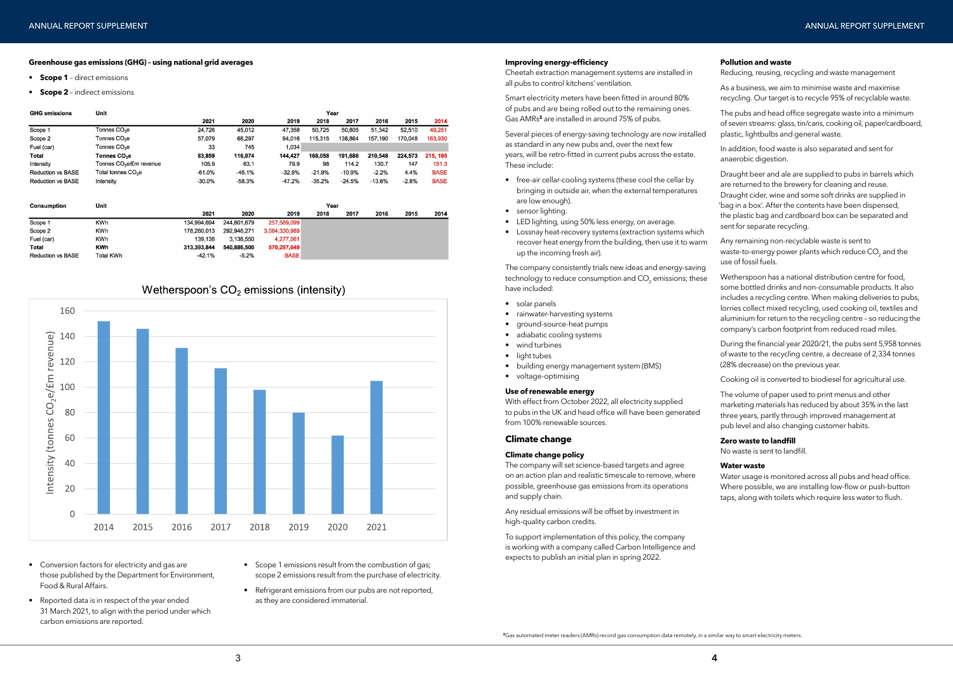#### **Greenhouse gas emissions (GHG) – using national grid averages**

- **• Scope 1**  direct emissions
- **• Scope 2**  indirect emissions

| <b>GHG emissions</b>     | Unit<br>Year                        |           |          |          |          |          |          |         |             |
|--------------------------|-------------------------------------|-----------|----------|----------|----------|----------|----------|---------|-------------|
|                          |                                     | 2021      | 2020     | 2019     | 2018     | 2017     | 2016     | 2015    | 2014        |
| Scope 1                  | Tonnes CO <sub>2</sub> e            | 24,726    | 45,012   | 47,358   | 50,725   | 50,805   | 51,342   | 52,510  | 49,251      |
| Scope 2                  | Tonnes CO <sub>2</sub> e            | 57,079    | 68,297   | 94.016   | 115,315  | 138,864  | 157.190  | 170,048 | 163,930     |
| Fuel (car)               | Tonnes CO <sub>2</sub> e            | 33        | 745      | 1,034    |          |          |          |         |             |
| Total                    | Tonnes CO <sub>2</sub> e            | 83.859    | 116,074  | 144,427  | 168,058  | 191,686  | 210,548  | 224,573 | 215, 195    |
| Intensity                | Tonnes CO <sub>2</sub> e/£m revenue | 105.9     | 63.1     | 79.9     | 98       | 114.2    | 130.7    | 147     | 151.3       |
| <b>Reduction vs BASE</b> | Total tonnes CO <sub>2</sub> e      | $-61.0%$  | $-46.1%$ | $-32.9%$ | $-21.9%$ | $-10.9%$ | $-2.2%$  | 4.4%    | <b>BASE</b> |
| <b>Reduction vs BASE</b> | Intensity                           | $-30.0\%$ | $-58.3%$ | $-47.2%$ | $-35.2%$ | $-24.5%$ | $-13.6%$ | $-2.8%$ | <b>BASE</b> |
|                          |                                     |           |          |          |          |          |          |         |             |

| <b>Consumption</b>       | Unit             |             | Year        |               |      |      |      |      |      |
|--------------------------|------------------|-------------|-------------|---------------|------|------|------|------|------|
|                          |                  | 2021        | 2020        | 2019          | 2018 | 2017 | 2016 | 2015 | 2014 |
| Scope 1                  | <b>KWh</b>       | 134.994.694 | 244,801,679 | 257,589,099   |      |      |      |      |      |
| Scope 2                  | KWh              | 178,260,013 | 292,946,271 | 3,084,330,989 |      |      |      |      |      |
| Fuel (car)               | KWh              | 139,138     | 3.138.550   | 4,277,561     |      |      |      |      |      |
| <b>Total</b>             | KWh              | 313,393,844 | 540.886.500 | 570,297,649   |      |      |      |      |      |
| <b>Reduction vs BASE</b> | <b>Total KWh</b> | $-42.1%$    | $-5.2%$     | <b>BASE</b>   |      |      |      |      |      |

### Wetherspoon's  $CO<sub>2</sub>$  emissions (intensity)



- Conversion factors for electricity and gas are those published by the Department for Environment, Food & Rural Affairs.
- Reported data is in respect of the year ended 31 March 2021, to align with the period under which carbon emissions are reported.
- Scope 1 emissions result from the combustion of gas; scope 2 emissions result from the purchase of electricity.
- Refrigerant emissions from our pubs are not reported, as they are considered immaterial.

### **Improving energy-efficiency**

Cheetah extraction management systems are installed in all pubs to control kitchens' ventilation.

Smart electricity meters have been fitted in around 80% of pubs and are being rolled out to the remaining ones. Gas AMRs**<sup>2</sup>** are installed in around 75% of pubs.

Several pieces of energy-saving technology are now installed as standard in any new pubs and, over the next few years, will be retro-fitted in current pubs across the estate. These include:

- free-air cellar-cooling systems (these cool the cellar by bringing in outside air, when the external temperatures are low enough).
- sensor lighting.
- LED lighting, using 50% less energy, on average.
- Lossnay heat-recovery systems (extraction systems which recover heat energy from the building, then use it to warm up the incoming fresh air).

The company consistently trials new ideas and energy-saving technology to reduce consumption and CO $_{\textrm{\tiny{2}}}$  emissions; these have included:

- solar panels
- rainwater-harvesting systems
- ground-source-heat pumps
- adiabatic cooling systems
- wind turbines
- light tubes
- building energy management system (BMS)
- voltage-optimising

### **Use of renewable energy**

With effect from October 2022, all electricity supplied to pubs in the UK and head office will have been generated from 100% renewable sources.

### **Climate change**

### **Climate change policy**

The company will set science-based targets and agree on an action plan and realistic timescale to remove, where possible, greenhouse gas emissions from its operations and supply chain.

Any residual emissions will be offset by investment in high-quality carbon credits.

To support implementation of this policy, the company is working with a company called Carbon Intelligence and expects to publish an initial plan in spring 2022.

### **Pollution and waste**

Reducing, reusing, recycling and waste management

- As a business, we aim to minimise waste and maximise recycling. Our target is to recycle 95% of recyclable waste.
- The pubs and head office segregate waste into a minimum of seven streams: glass, tin/cans, cooking oil, paper/cardboard, plastic, lightbulbs and general waste.
- In addition, food waste is also separated and sent for anaerobic digestion.
- Draught beer and ale are supplied to pubs in barrels which are returned to the brewery for cleaning and reuse. Draught cider, wine and some soft drinks are supplied in bag in a box'. After the contents have been dispensed, ' the plastic bag and cardboard box can be separated and sent for separate recycling.
- Any remaining non-recyclable waste is sent to waste-to-energy power plants which reduce CO<sub>2</sub> and the use of fossil fuels.
- Wetherspoon has a national distribution centre for food, some bottled drinks and non-consumable products. It also includes a recycling centre. When making deliveries to pubs, lorries collect mixed recycling, used cooking oil, textiles and aluminium for return to the recycling centre – so reducing the company's carbon footprint from reduced road miles.
- During the financial year 2020/21, the pubs sent 5,958 tonnes of waste to the recycling centre, a decrease of 2,334 tonnes (28% decrease) on the previous year.
- Cooking oil is converted to biodiesel for agricultural use.
- The volume of paper used to print menus and other marketing materials has reduced by about 35% in the last three years, partly through improved management at pub level and also changing customer habits.

### **Zero waste to landfill**

No waste is sent to landfill.

### **Water waste**

Water usage is monitored across all pubs and head office. Where possible, we are installing low-flow or push-button taps, along with toilets which require less water to flush.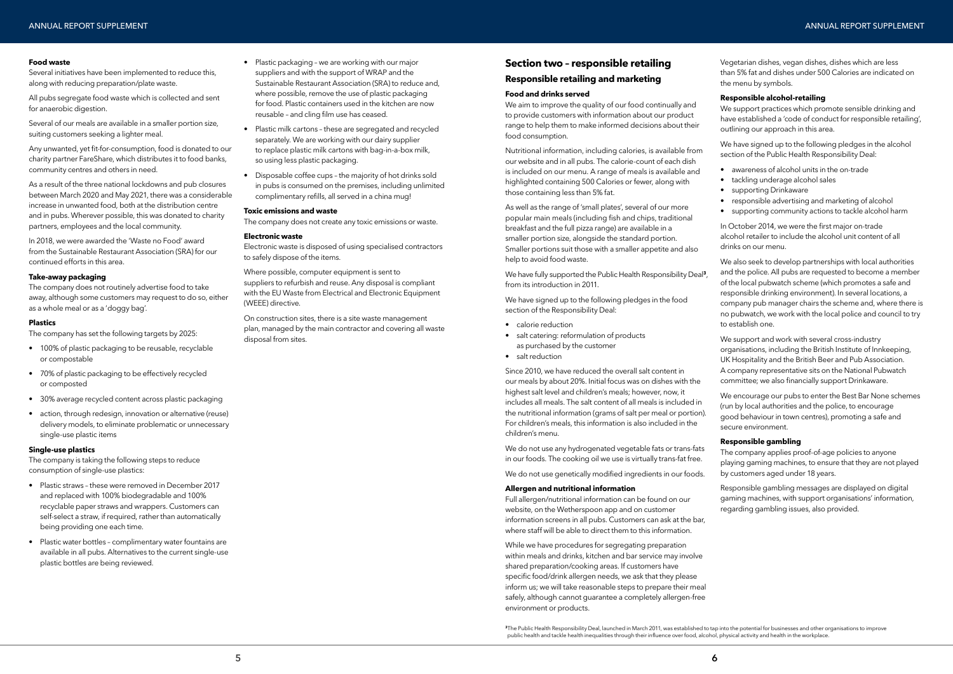### **Food waste**

Several initiatives have been implemented to reduce this, along with reducing preparation/plate waste.

All pubs segregate food waste which is collected and sent for anaerobic digestion.

Several of our meals are available in a smaller portion size, suiting customers seeking a lighter meal.

Any unwanted, yet fit-for-consumption, food is donated to our charity partner FareShare, which distributes it to food banks, community centres and others in need.

As a result of the three national lockdowns and pub closures between March 2020 and May 2021, there was a considerable increase in unwanted food, both at the distribution centre and in pubs. Wherever possible, this was donated to charity partners, employees and the local community.

- 100% of plastic packaging to be reusable, recyclable or compostable
- 70% of plastic packaging to be effectively recycled or composted
- 30% average recycled content across plastic packaging
- action, through redesign, innovation or alternative (reuse) delivery models, to eliminate problematic or unnecessary single-use plastic items

In 2018, we were awarded the 'Waste no Food' award from the Sustainable Restaurant Association (SRA) for our continued efforts in this area.

### **Take-away packaging**

The company does not routinely advertise food to take away, although some customers may request to do so, either as a whole meal or as a 'doggy bag'.

### **Plastics**

The company has set the following targets by 2025:

### **Single-use plastics**

The company is taking the following steps to reduce consumption of single-use plastics:

- Plastic straws these were removed in December 2017 and replaced with 100% biodegradable and 100% recyclable paper straws and wrappers. Customers can self-select a straw, if required, rather than automatically being providing one each time.
- Plastic water bottles complimentary water fountains are available in all pubs. Alternatives to the current single-use plastic bottles are being reviewed.
- Plastic packaging we are working with our major suppliers and with the support of WRAP and the Sustainable Restaurant Association (SRA) to reduce and, where possible, remove the use of plastic packaging for food. Plastic containers used in the kitchen are now reusable – and cling film use has ceased.
- Plastic milk cartons these are segregated and recycled separately. We are working with our dairy supplier to replace plastic milk cartons with bag-in-a-box milk, so using less plastic packaging.
- Disposable coffee cups the majority of hot drinks sold in pubs is consumed on the premises, including unlimited complimentary refills, all served in a china mug!

### **Toxic emissions and waste**

The company does not create any toxic emissions or waste.

### **Electronic waste**

Electronic waste is disposed of using specialised contractors to safely dispose of the items.

Where possible, computer equipment is sent to suppliers to refurbish and reuse. Any disposal is compliant with the EU Waste from Electrical and Electronic Equipment (WEEE) directive.

On construction sites, there is a site waste management plan, managed by the main contractor and covering all waste disposal from sites.

## **Section two – responsible retailing**

### **Responsible retailing and marketing**

### **Food and drinks served**

We aim to improve the quality of our food continually and to provide customers with information about our product range to help them to make informed decisions about their food consumption.

> We support and work with several cross-industry organisations, including the British Institute of Innkeeping, UK Hospitality and the British Beer and Pub Association. A company representative sits on the National Pubwatch committee; we also financially support Drinkaware.

Nutritional information, including calories, is available from our website and in all pubs. The calorie-count of each dish is included on our menu. A range of meals is available and highlighted containing 500 Calories or fewer, along with those containing less than 5% fat.

As well as the range of 'small plates', several of our more popular main meals (including fish and chips, traditional breakfast and the full pizza range) are available in a smaller portion size, alongside the standard portion. Smaller portions suit those with a smaller appetite and also help to avoid food waste.

We have fully supported the Public Health Responsibility Deal**<sup>3</sup>**, from its introduction in 2011.

We have signed up to the following pledges in the food section of the Responsibility Deal:

- calorie reduction
- salt catering: reformulation of products as purchased by the customer
- salt reduction

Since 2010, we have reduced the overall salt content in our meals by about 20%. Initial focus was on dishes with the highest salt level and children's meals; however, now, it includes all meals. The salt content of all meals is included in the nutritional information (grams of salt per meal or portion). For children's meals, this information is also included in the children's menu.

We do not use any hydrogenated vegetable fats or trans-fats in our foods. The cooking oil we use is virtually trans-fat free.

We do not use genetically modified ingredients in our foods.

### **Allergen and nutritional information**

Full allergen/nutritional information can be found on our website, on the Wetherspoon app and on customer information screens in all pubs. Customers can ask at the bar, where staff will be able to direct them to this information.

While we have procedures for segregating preparation within meals and drinks, kitchen and bar service may involve shared preparation/cooking areas. If customers have specific food/drink allergen needs, we ask that they please inform us; we will take reasonable steps to prepare their meal safely, although cannot guarantee a completely allergen-free environment or products.

Vegetarian dishes, vegan dishes, dishes which are less than 5% fat and dishes under 500 Calories are indicated on the menu by symbols.

### **Responsible alcohol-retailing**

We support practices which promote sensible drinking and have established a 'code of conduct for responsible retailing', outlining our approach in this area.

We have signed up to the following pledges in the alcohol section of the Public Health Responsibility Deal:

- awareness of alcohol units in the on-trade
- tackling underage alcohol sales
- supporting Drinkaware
- responsible advertising and marketing of alcohol
- supporting community actions to tackle alcohol harm

In October 2014, we were the first major on-trade alcohol retailer to include the alcohol unit content of all drinks on our menu.

We also seek to develop partnerships with local authorities and the police. All pubs are requested to become a member of the local pubwatch scheme (which promotes a safe and responsible drinking environment). In several locations, a company pub manager chairs the scheme and, where there is no pubwatch, we work with the local police and council to try to establish one.

We encourage our pubs to enter the Best Bar None schemes (run by local authorities and the police, to encourage good behaviour in town centres), promoting a safe and secure environment.

### **Responsible gambling**

The company applies proof-of-age policies to anyone playing gaming machines, to ensure that they are not played by customers aged under 18 years.

Responsible gambling messages are displayed on digital gaming machines, with support organisations' information, regarding gambling issues, also provided.

**<sup>3</sup>**The Public Health Responsibility Deal, launched in March 2011, was established to tap into the potential for businesses and other organisations to improve public health and tackle health inequalities through their influence over food, alcohol, physical activity and health in the workplace.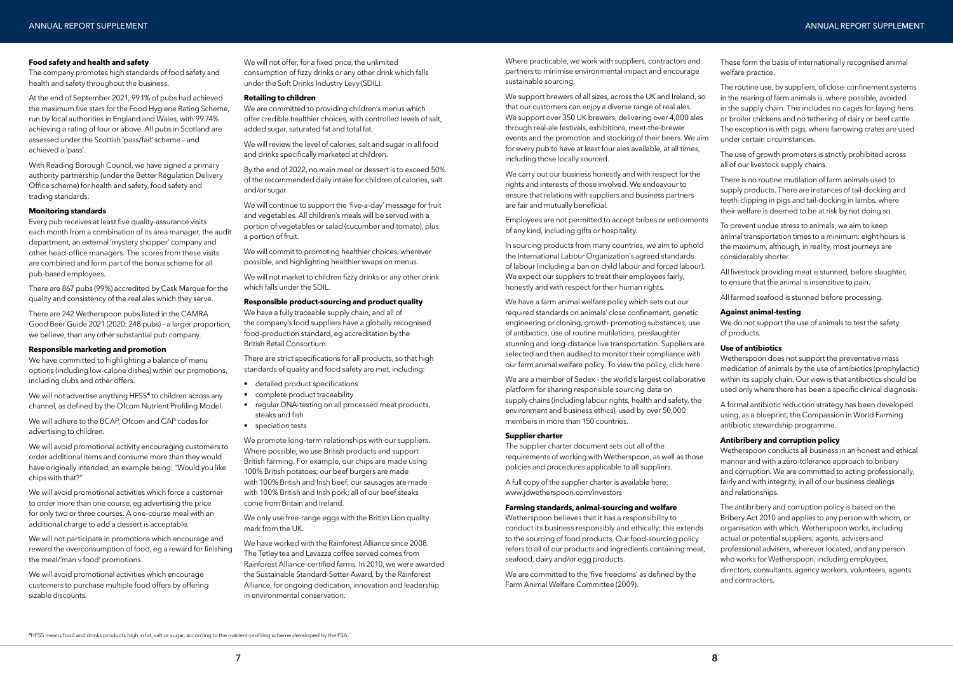### **Food safety and health and safety**

The company promotes high standards of food safety and health and safety throughout the business.

At the end of September 2021, 99.1% of pubs had achieved the maximum five stars for the Food Hygiene Rating Scheme, run by local authorities in England and Wales, with 99.74% achieving a rating of four or above. All pubs in Scotland are assessed under the Scottish 'pass/fail' scheme – and achieved a 'pass'.

With Reading Borough Council, we have signed a primary authority partnership (under the Better Regulation Delivery Office scheme) for health and safety, food safety and trading standards.

#### **Monitoring standards**

We have committed to highlighting a balance of menu options (including low-calorie dishes) within our promotions, including clubs and other offers.

Every pub receives at least five quality-assurance visits each month from a combination of its area manager, the audit department, an external 'mystery shopper' company and other head-office managers. The scores from these visits are combined and form part of the bonus scheme for all pub-based employees.

There are 867 pubs (99%) accredited by Cask Marque for the quality and consistency of the real ales which they serve.

There are 242 Wetherspoon pubs listed in the CAMRA Good Beer Guide 2021 (2020: 248 pubs) – a larger proportion, we believe, than any other substantial pub company.

### **Responsible marketing and promotion**

We will not advertise anything HFSS**<sup>4</sup>** to children across any channel, as defined by the Ofcom Nutrient Profiling Model.

We will adhere to the BCAP, Ofcom and CAP codes for advertising to children.

We will avoid promotional activity encouraging customers to order additional items and consume more than they would have originally intended, an example being: "Would you like chips with that?"

We will avoid promotional activities which force a customer to order more than one course, eg advertising the price for only two or three courses. A one-course meal with an additional charge to add a dessert is acceptable.

We will not participate in promotions which encourage and reward the overconsumption of food, eg a reward for finishing the meal/'man v food' promotions.

We will avoid promotional activities which encourage customers to purchase multiple food offers by offering sizable discounts.

We will not offer, for a fixed price, the unlimited consumption of fizzy drinks or any other drink which falls under the Soft Drinks Industry Levy (SDIL).

### **Retailing to children**

We are committed to providing children's menus which offer credible healthier choices, with controlled levels of salt, added sugar, saturated fat and total fat.

We will review the level of calories, salt and sugar in all food and drinks specifically marketed at children.

By the end of 2022, no main meal or dessert is to exceed 50% of the recommended daily intake for children of calories, salt and/or sugar.

We will continue to support the 'five-a-day' message for fruit and vegetables. All children's meals will be served with a portion of vegetables or salad (cucumber and tomato), plus a portion of fruit.

We will commit to promoting healthier choices, wherever possible, and highlighting healthier swaps on menus.

We will not market to children fizzy drinks or any other drink which falls under the SDIL.

### **Responsible product-sourcing and product quality**

We have a fully traceable supply chain, and all of the company's food suppliers have a globally recognised food-production standard, eg accreditation by the British Retail Consortium.

There are strict specifications for all products, so that high standards of quality and food safety are met, including:

- detailed product specifications
- complete product traceability
- regular DNA-testing on all processed meat products, steaks and fish
- speciation tests

We promote long-term relationships with our suppliers. Where possible, we use British products and support British farming. For example, our chips are made using 100% British potatoes; our beef burgers are made with 100% British and Irish beef; our sausages are made with 100% British and Irish pork; all of our beef steaks come from Britain and Ireland.

We do not support the use of animals to test the safety of products.

We only use free-range eggs with the British Lion quality mark from the UK.

We have worked with the Rainforest Alliance since 2008. The Tetley tea and Lavazza coffee served comes from Rainforest Alliance-certified farms. In 2010, we were awarded the Sustainable Standard-Setter Award, by the Rainforest Alliance, for ongoing dedication, innovation and leadership in environmental conservation.

Where practicable, we work with suppliers, contractors and partners to minimise environmental impact and encourage sustainable sourcing.

We support brewers of all sizes, across the UK and Ireland, so that our customers can enjoy a diverse range of real ales. We support over 350 UK brewers, delivering over 4,000 ales through real-ale festivals, exhibitions, meet-the-brewer events and the promotion and stocking of their beers. We aim for every pub to have at least four ales available, at all times, including those locally sourced.

We carry out our business honestly and with respect for the rights and interests of those involved. We endeavour to ensure that relations with suppliers and business partners are fair and mutually beneficial.

Employees are not permitted to accept bribes or enticements of any kind, including gifts or hospitality.

In sourcing products from many countries, we aim to uphold the International Labour Organization's agreed standards of labour (including a ban on child labour and forced labour). We expect our suppliers to treat their employees fairly, honestly and with respect for their human rights.

We have a farm animal welfare policy which sets out our required standards on animals' close confinement, genetic engineering or cloning, growth-promoting substances, use of antibiotics, use of routine mutilations, preslaughter stunning and long-distance live transportation. Suppliers are selected and then audited to monitor their compliance with our farm animal welfare policy. To view the polic[y, click here.](https://www.jdwetherspoon.com/~/media/files/pdf-documents/supplier-charter/jdw-supplier-charter-2019-v1.pdf?la=en)

We are a member of Sedex – the world's largest collaborative platform for sharing responsible sourcing data on supply chains (including labour rights, health and safety, the environment and business ethics), used by over 50,000 members in more than 150 countries.

### **Supplier charter**

The supplier charter document sets out all of the requirements of working with Wetherspoon, as well as those policies and procedures applicable to all suppliers.

A full copy of the supplier charter is available here: www.jdwetherspoon.com/investors

### **Farming standards, animal-sourcing and welfare**

Wetherspoon believes that it has a responsibility to conduct its business responsibly and ethically; this extends to the sourcing of food products. Our food-sourcing policy refers to all of our products and ingredients containing meat, seafood, dairy and/or egg products.

We are committed to the 'five freedoms' as defined by the Farm Animal Welfare Committee (2009).

These form the basis of internationally recognised animal welfare practice.

The routine use, by suppliers, of close-confinement systems in the rearing of farm animals is, where possible, avoided in the supply chain. This includes no cages for laying hens or broiler chickens and no tethering of dairy or beef cattle. The exception is with pigs, where farrowing crates are used under certain circumstances.

The use of growth promoters is strictly prohibited across all of our livestock supply chains.

There is no routine mutilation of farm animals used to supply products. There are instances of tail-docking and teeth-clipping in pigs and tail-docking in lambs, where their welfare is deemed to be at risk by not doing so.

To prevent undue stress to animals, we aim to keep animal transportation times to a minimum: eight hours is the maximum, although, in reality, most journeys are considerably shorter.

All livestock providing meat is stunned, before slaughter, to ensure that the animal is insensitive to pain.

All farmed seafood is stunned before processing.

### **Against animal-testing**

### **Use of antibiotics**

Wetherspoon does not support the preventative mass medication of animals by the use of antibiotics (prophylactic) within its supply chain. Our view is that antibiotics should be used only where there has been a specific clinical diagnosis.

A formal antibiotic reduction strategy has been developed using, as a blueprint, the Compassion in World Farming antibiotic stewardship programme.

### **Antibribery and corruption policy**

Wetherspoon conducts all business in an honest and ethical manner and with a zero-tolerance approach to bribery and corruption. We are committed to acting professionally, fairly and with integrity, in all of our business dealings and relationships.

The antibribery and corruption policy is based on the Bribery Act 2010 and applies to any person with whom, or organisation with which, Wetherspoon works, including actual or potential suppliers, agents, advisers and professional advisers, wherever located, and any person who works for Wetherspoon, including employees, directors, consultants, agency workers, volunteers, agents and contractors.

**4**HFSS means food and drinks products high in fat, salt or sugar, according to the nutrient-profiling scheme developed by the FSA.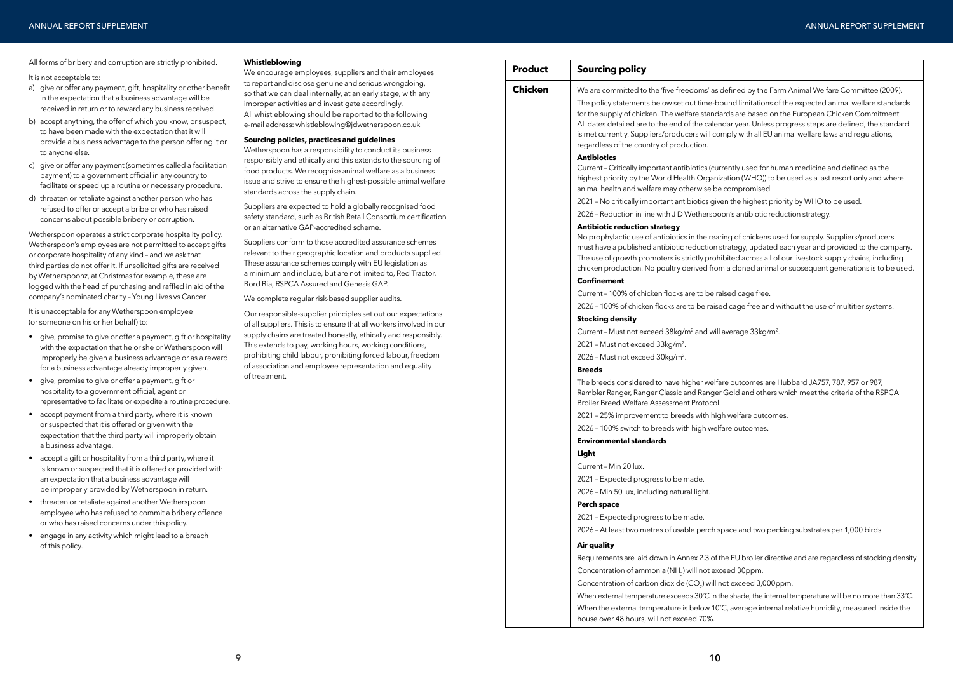Fined by the Farm Animal Welfare Committee (2009). nd limitations of the expected animal welfare standards s are based on the European Chicken Commitment. r year. Unless progress steps are defined, the standard bly with all EU animal welfare laws and regulations,

ntly used for human medicine and defined as the ion (WHO)) to be used as a last resort only and where ampromised.

the highest priority by WHO to be used.

's antibiotic reduction strategy.

of chickens used for supply. Suppliers/producers tegy, updated each year and provided to the company. ted across all of our livestock supply chains, including cloned animal or subsequent generations is to be used.

ed cage free. cage free and without the use of multitier systems.

 $\alpha$  and will average 33kg/m<sup>2</sup>.

outcomes are Hubbard JA757, 787, 957 or 987. old and others which meet the criteria of the RSPCA

velfare outcomes.

outcomes.

ce and two pecking substrates per 1,000 birds.

EU broiler directive and are regardless of stocking density. d 30ppm.

exceed 3,000ppm.

shade, the internal temperature will be no more than 33°C. average internal relative humidity, measured inside the

All forms of bribery and corruption are strictly prohibited.

It is not acceptable to:

- a) give or offer any payment, gift, hospitality or other benefit in the expectation that a business advantage will be received in return or to reward any business received.
- b) accept anything, the offer of which you know, or suspect, to have been made with the expectation that it will provide a business advantage to the person offering it or to anyone else.
- c) give or offer any payment (sometimes called a facilitation payment) to a government official in any country to facilitate or speed up a routine or necessary procedure.
- d) threaten or retaliate against another person who has refused to offer or accept a bribe or who has raised concerns about possible bribery or corruption.

Wetherspoon operates a strict corporate hospitality policy. Wetherspoon's employees are not permitted to accept gifts or corporate hospitality of any kind – and we ask that third parties do not offer it. If unsolicited gifts are received by Wetherspoonz, at Christmas for example, these are logged with the head of purchasing and raffled in aid of the company's nominated charity – Young Lives vs Cancer.

It is unacceptable for any Wetherspoon employee (or someone on his or her behalf) to:

- give, promise to give or offer a payment, gift or hospitality with the expectation that he or she or Wetherspoon will improperly be given a business advantage or as a reward for a business advantage already improperly given.
- give, promise to give or offer a payment, gift or hospitality to a government official, agent or representative to facilitate or expedite a routine procedure.
- accept payment from a third party, where it is known or suspected that it is offered or given with the expectation that the third party will improperly obtain a business advantage.
- accept a gift or hospitality from a third party, where it is known or suspected that it is offered or provided with an expectation that a business advantage will be improperly provided by Wetherspoon in return.
- threaten or retaliate against another Wetherspoon employee who has refused to commit a bribery offence or who has raised concerns under this policy.
- engage in any activity which might lead to a breach of this policy.

### **Whistleblowing**

We encourage employees, suppliers and their employees to report and disclose genuine and serious wrongdoing, so that we can deal internally, at an early stage, with any improper activities and investigate accordingly. All whistleblowing should be reported to the following e-mail address: whistleblowing@jdwetherspoon.co.uk

#### **Sourcing policies, practices and guidelines**

Wetherspoon has a responsibility to conduct its business responsibly and ethically and this extends to the sourcing of food products. We recognise animal welfare as a business issue and strive to ensure the highest-possible animal welfare standards across the supply chain.

Suppliers are expected to hold a globally recognised food safety standard, such as British Retail Consortium certification or an alternative GAP-accredited scheme.

Suppliers conform to those accredited assurance schemes relevant to their geographic location and products supplied. These assurance schemes comply with EU legislation as a minimum and include, but are not limited to, Red Tractor, Bord Bia, RSPCA Assured and Genesis GAP.

We complete regular risk-based supplier audits.

Our responsible-supplier principles set out our expectations of all suppliers. This is to ensure that all workers involved in our supply chains are treated honestly, ethically and responsibly. This extends to pay, working hours, working conditions, prohibiting child labour, prohibiting forced labour, freedom of association and employee representation and equality of treatment.

| <b>Chicken</b>                                                                              | We are committed to the 'five freedoms' as defi<br>The policy statements below set out time-boun<br>for the supply of chicken. The welfare standards<br>All dates detailed are to the end of the calendar                                                                                                                                                                                                                  |
|---------------------------------------------------------------------------------------------|----------------------------------------------------------------------------------------------------------------------------------------------------------------------------------------------------------------------------------------------------------------------------------------------------------------------------------------------------------------------------------------------------------------------------|
|                                                                                             | is met currently. Suppliers/producers will comp<br>regardless of the country of production.<br><b>Antibiotics</b><br>Current - Critically important antibiotics (curren<br>highest priority by the World Health Organizati<br>animal health and welfare may otherwise be co<br>2021 - No critically important antibiotics given t<br>2026 - Reduction in line with JD Wetherspoon'<br><b>Antibiotic reduction strategy</b> |
|                                                                                             | No prophylactic use of antibiotics in the rearing<br>must have a published antibiotic reduction stra<br>The use of growth promoters is strictly prohibite<br>chicken production. No poultry derived from a                                                                                                                                                                                                                 |
|                                                                                             | <b>Confinement</b>                                                                                                                                                                                                                                                                                                                                                                                                         |
|                                                                                             | Current - 100% of chicken flocks are to be raise<br>2026 - 100% of chicken flocks are to be raised c                                                                                                                                                                                                                                                                                                                       |
|                                                                                             | <b>Stocking density</b>                                                                                                                                                                                                                                                                                                                                                                                                    |
|                                                                                             | Current - Must not exceed 38kg/m <sup>2</sup> and will ave                                                                                                                                                                                                                                                                                                                                                                 |
|                                                                                             | 2021 - Must not exceed 33kg/m <sup>2</sup> .                                                                                                                                                                                                                                                                                                                                                                               |
|                                                                                             | 2026 - Must not exceed 30kg/m <sup>2</sup> .                                                                                                                                                                                                                                                                                                                                                                               |
|                                                                                             | <b>Breeds</b><br>The breeds considered to have higher welfare of<br>Rambler Ranger, Ranger Classic and Ranger Go<br>Broiler Breed Welfare Assessment Protocol.<br>2021 - 25% improvement to breeds with high w<br>2026 - 100% switch to breeds with high welfare                                                                                                                                                           |
|                                                                                             | <b>Environmental standards</b>                                                                                                                                                                                                                                                                                                                                                                                             |
|                                                                                             | Light                                                                                                                                                                                                                                                                                                                                                                                                                      |
|                                                                                             | Current - Min 20 lux.                                                                                                                                                                                                                                                                                                                                                                                                      |
|                                                                                             | 2021 - Expected progress to be made.                                                                                                                                                                                                                                                                                                                                                                                       |
|                                                                                             | 2026 - Min 50 lux, including natural light.                                                                                                                                                                                                                                                                                                                                                                                |
|                                                                                             | <b>Perch space</b>                                                                                                                                                                                                                                                                                                                                                                                                         |
|                                                                                             | 2021 - Expected progress to be made.                                                                                                                                                                                                                                                                                                                                                                                       |
|                                                                                             | 2026 - At least two metres of usable perch spac                                                                                                                                                                                                                                                                                                                                                                            |
|                                                                                             | Air quality                                                                                                                                                                                                                                                                                                                                                                                                                |
|                                                                                             | Requirements are laid down in Annex 2.3 of the I                                                                                                                                                                                                                                                                                                                                                                           |
|                                                                                             | Concentration of ammonia (NH <sub>3</sub> ) will not excee<br>Concentration of carbon dioxide (CO <sub>2</sub> ) will not                                                                                                                                                                                                                                                                                                  |
|                                                                                             | When external temperature exceeds 30°C in the s                                                                                                                                                                                                                                                                                                                                                                            |
| When the external temperature is below 10°C, a<br>house over 48 hours, will not exceed 70%. |                                                                                                                                                                                                                                                                                                                                                                                                                            |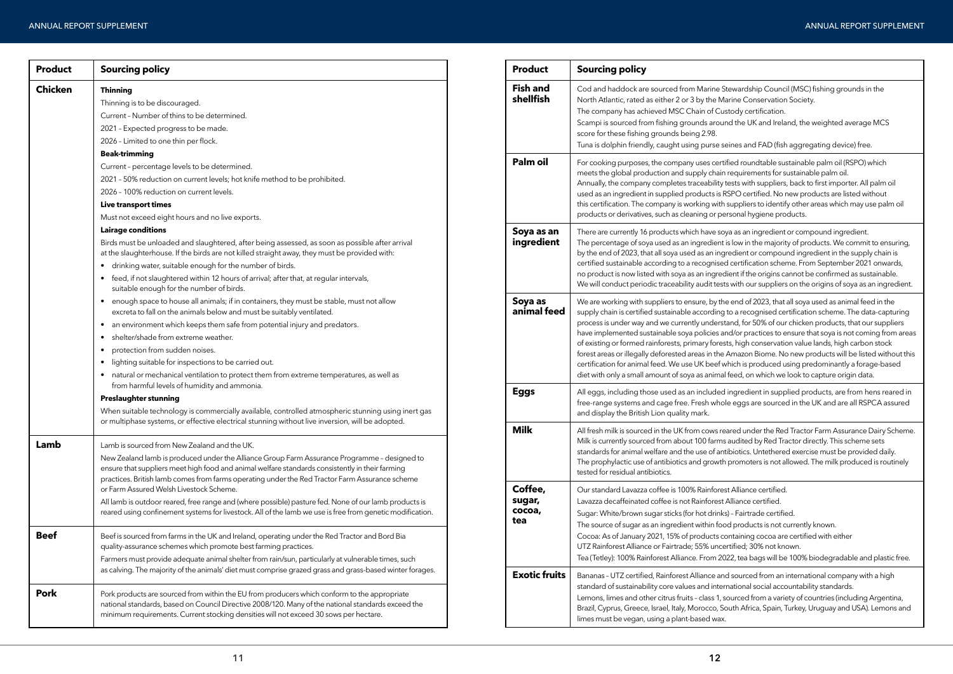Stewardship Council (MSC) fishing grounds in the Marine Conservation Society.

ustody certification.

und the UK and Ireland, the weighted average MCS

seines and FAD (fish aggregating device) free.

| <b>Product</b> | <b>Sourcing policy</b>                                                                                                                                                                                                                                                                                                                       |  |  |  |  |  |  |
|----------------|----------------------------------------------------------------------------------------------------------------------------------------------------------------------------------------------------------------------------------------------------------------------------------------------------------------------------------------------|--|--|--|--|--|--|
| <b>Chicken</b> | <b>Thinning</b>                                                                                                                                                                                                                                                                                                                              |  |  |  |  |  |  |
|                | Thinning is to be discouraged.                                                                                                                                                                                                                                                                                                               |  |  |  |  |  |  |
|                | Current - Number of thins to be determined.                                                                                                                                                                                                                                                                                                  |  |  |  |  |  |  |
|                | 2021 - Expected progress to be made.                                                                                                                                                                                                                                                                                                         |  |  |  |  |  |  |
|                | 2026 - Limited to one thin per flock.                                                                                                                                                                                                                                                                                                        |  |  |  |  |  |  |
|                | <b>Beak-trimming</b>                                                                                                                                                                                                                                                                                                                         |  |  |  |  |  |  |
|                | Current - percentage levels to be determined.                                                                                                                                                                                                                                                                                                |  |  |  |  |  |  |
|                | 2021 - 50% reduction on current levels; hot knife method to be prohibited.                                                                                                                                                                                                                                                                   |  |  |  |  |  |  |
|                | 2026 - 100% reduction on current levels.                                                                                                                                                                                                                                                                                                     |  |  |  |  |  |  |
|                | <b>Live transport times</b>                                                                                                                                                                                                                                                                                                                  |  |  |  |  |  |  |
|                | Must not exceed eight hours and no live exports.                                                                                                                                                                                                                                                                                             |  |  |  |  |  |  |
|                | <b>Lairage conditions</b>                                                                                                                                                                                                                                                                                                                    |  |  |  |  |  |  |
|                | Birds must be unloaded and slaughtered, after being assessed, as soon as possible after arrival<br>at the slaughterhouse. If the birds are not killed straight away, they must be provided with:                                                                                                                                             |  |  |  |  |  |  |
|                | drinking water, suitable enough for the number of birds.                                                                                                                                                                                                                                                                                     |  |  |  |  |  |  |
|                | feed, if not slaughtered within 12 hours of arrival; after that, at regular intervals,<br>٠<br>suitable enough for the number of birds.                                                                                                                                                                                                      |  |  |  |  |  |  |
|                | enough space to house all animals; if in containers, they must be stable, must not allow<br>$\bullet$<br>excreta to fall on the animals below and must be suitably ventilated.                                                                                                                                                               |  |  |  |  |  |  |
|                | an environment which keeps them safe from potential injury and predators.<br>$\bullet$                                                                                                                                                                                                                                                       |  |  |  |  |  |  |
|                | shelter/shade from extreme weather.<br>$\bullet$                                                                                                                                                                                                                                                                                             |  |  |  |  |  |  |
|                | protection from sudden noises.<br>٠                                                                                                                                                                                                                                                                                                          |  |  |  |  |  |  |
|                | lighting suitable for inspections to be carried out.<br>$\bullet$                                                                                                                                                                                                                                                                            |  |  |  |  |  |  |
|                | natural or mechanical ventilation to protect them from extreme temperatures, as well as<br>$\bullet$<br>from harmful levels of humidity and ammonia.                                                                                                                                                                                         |  |  |  |  |  |  |
|                | <b>Preslaughter stunning</b>                                                                                                                                                                                                                                                                                                                 |  |  |  |  |  |  |
|                | When suitable technology is commercially available, controlled atmospheric stunning using inert gas<br>or multiphase systems, or effective electrical stunning without live inversion, will be adopted.                                                                                                                                      |  |  |  |  |  |  |
| Lamb           | Lamb is sourced from New Zealand and the UK.                                                                                                                                                                                                                                                                                                 |  |  |  |  |  |  |
|                | New Zealand lamb is produced under the Alliance Group Farm Assurance Programme - designed to<br>ensure that suppliers meet high food and animal welfare standards consistently in their farming<br>practices. British lamb comes from farms operating under the Red Tractor Farm Assurance scheme<br>or Farm Assured Welsh Livestock Scheme. |  |  |  |  |  |  |
|                | All lamb is outdoor reared, free range and (where possible) pasture fed. None of our lamb products is<br>reared using confinement systems for livestock. All of the lamb we use is free from genetic modification.                                                                                                                           |  |  |  |  |  |  |
| <b>Beef</b>    | Beef is sourced from farms in the UK and Ireland, operating under the Red Tractor and Bord Bia<br>quality-assurance schemes which promote best farming practices.                                                                                                                                                                            |  |  |  |  |  |  |
|                | Farmers must provide adequate animal shelter from rain/sun, particularly at vulnerable times, such<br>as calving. The majority of the animals' diet must comprise grazed grass and grass-based winter forages.                                                                                                                               |  |  |  |  |  |  |
| <b>Pork</b>    | Pork products are sourced from within the EU from producers which conform to the appropriate<br>national standards, based on Council Directive 2008/120. Many of the national standards exceed the<br>minimum requirements. Current stocking densities will not exceed 30 sows per hectare.                                                  |  |  |  |  |  |  |

**Palm oil** For cooking purposes, the company uses certified roundtable sustainable palm oil (RSPO) which in requirements for sustainable palm oil.

tests with suppliers, back to first importer. All palm oil RSPO certified. No new products are listed without th suppliers to identify other areas which may use palm oil personal hygiene products.

oya as an ingredient or compound ingredient. t is low in the majority of products. We commit to ensuring, gredient or compound ingredient in the supply chain is ed certification scheme. From September 2021 onwards, edient if the origins cannot be confirmed as sustainable. sts with our suppliers on the origins of soya as an ingredient.

he end of 2023, that all soya used as animal feed in the g to a recognised certification scheme. The data-capturing stand, for 50% of our chicken products, that our suppliers and/or practices to ensure that soya is not coming from areas ests, high conservation value lands, high carbon stock e Amazon Biome. No new products will be listed without this which is produced using predominantly a forage-based al feed, on which we look to capture origin data.

**Eggs** incredient in supplied products, are from hens reared in ole eggs are sourced in the UK and are all RSPCA assured

reared under the Red Tractor Farm Assurance Dairy Scheme. ns audited by Red Tractor directly. This scheme sets ntibiotics. Untethered exercise must be provided daily. th promoters is not allowed. The milk produced is routinely

est Alliance certified.

t Alliance certified.

ks) - Fairtrade certified.

the source source of supersident with source and products is not currently known.

containing cocoa are certified with either

certified; 30% not known.

2022, tea bags will be 100% biodegradable and plastic free.

Ind sourced from an international company with a high ernational social accountability standards.

, sourced from a variety of countries (including Argentina, South Africa, Spain, Turkey, Uruguay and USA). Lemons and

| <b>Product</b>                     | <b>Sourcing policy</b>                                                                                                                                                                                                                                                                                                                                                                                              |
|------------------------------------|---------------------------------------------------------------------------------------------------------------------------------------------------------------------------------------------------------------------------------------------------------------------------------------------------------------------------------------------------------------------------------------------------------------------|
| <b>Fish and</b><br>shellfish       | Cod and haddock are sourced from Marine S<br>North Atlantic, rated as either 2 or 3 by the Ma<br>The company has achieved MSC Chain of Cus<br>Scampi is sourced from fishing grounds arour<br>score for these fishing grounds being 2.98.<br>Tuna is dolphin friendly, caught using purse se                                                                                                                        |
| Palm oil                           | For cooking purposes, the company uses certi<br>meets the global production and supply chain<br>Annually, the company completes traceability t<br>used as an ingredient in supplied products is R<br>this certification. The company is working with<br>products or derivatives, such as cleaning or pe                                                                                                             |
| Soya as an<br>ingredient           | There are currently 16 products which have so<br>The percentage of soya used as an ingredient<br>by the end of 2023, that all soya used as an ing<br>certified sustainable according to a recognised<br>no product is now listed with soya as an ingred<br>We will conduct periodic traceability audit test                                                                                                         |
| Soya as<br>animal feed             | We are working with suppliers to ensure, by the<br>supply chain is certified sustainable according<br>process is under way and we currently underst<br>have implemented sustainable soya policies ar<br>of existing or formed rainforests, primary fores<br>forest areas or illegally deforested areas in the<br>certification for animal feed. We use UK beef w<br>diet with only a small amount of soya as animal |
| <b>Eggs</b>                        | All eggs, including those used as an included<br>free-range systems and cage free. Fresh whol<br>and display the British Lion quality mark.                                                                                                                                                                                                                                                                         |
| <b>Milk</b>                        | All fresh milk is sourced in the UK from cows re<br>Milk is currently sourced from about 100 farms<br>standards for animal welfare and the use of ant<br>The prophylactic use of antibiotics and growth<br>tested for residual antibiotics.                                                                                                                                                                         |
| Coffee,<br>sugar,<br>cocoa,<br>tea | Our standard Lavazza coffee is 100% Rainfores<br>Lavazza decaffeinated coffee is not Rainforest,<br>Sugar: White/brown sugar sticks (for hot drinks<br>The source of sugar as an ingredient within foo<br>Cocoa: As of January 2021, 15% of products co<br>UTZ Rainforest Alliance or Fairtrade; 55% unce<br>Tea (Tetley): 100% Rainforest Alliance. From 20                                                        |
| <b>Exotic fruits</b>               | Bananas - UTZ certified, Rainforest Alliance and<br>standard of sustainability core values and inter<br>Lemons, limes and other citrus fruits - class 1, s<br>Brazil, Cyprus, Greece, Israel, Italy, Morocco, So<br>limes must be vegan, using a plant-based wax.                                                                                                                                                   |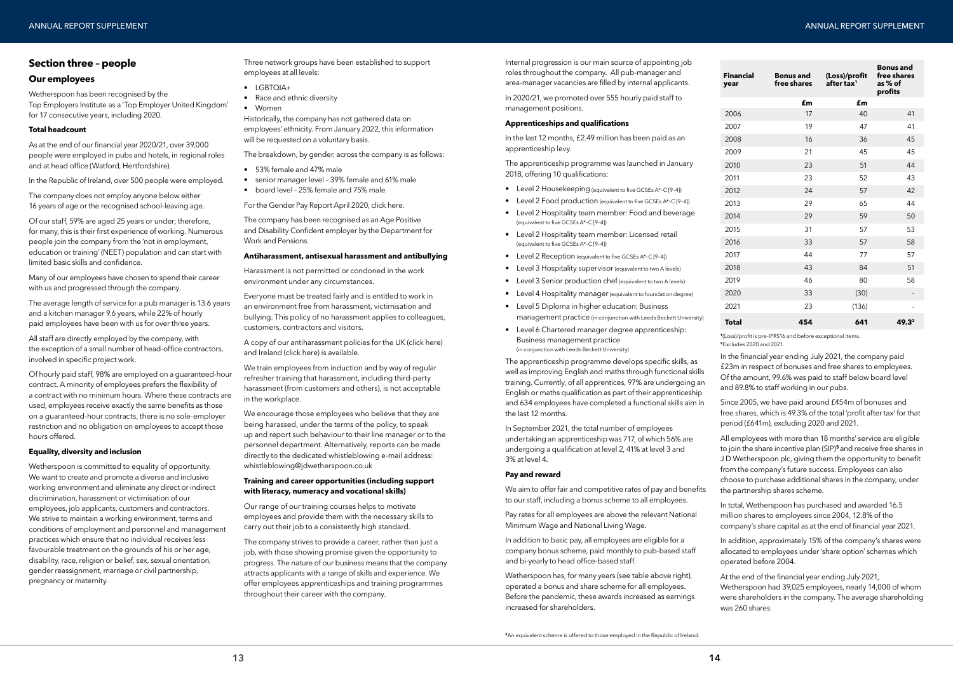### **Section three – people**

### **Our employees**

Wetherspoon has been recognised by the Top Employers Institute as a 'Top Employer United Kingdom' for 17 consecutive years, including 2020.

### **Total headcount**

As at the end of our financial year 2020/21, over 39,000 people were employed in pubs and hotels, in regional roles and at head office (Watford, Hertfordshire).

In the Republic of Ireland, over 500 people were employed.

The company does not employ anyone below either 16 years of age or the recognised school-leaving age.

Of our staff, 59% are aged 25 years or under; therefore, for many, this is their first experience of working. Numerous people join the company from the 'not in employment, education or training' (NEET) population and can start with limited basic skills and confidence.

Many of our employees have chosen to spend their career with us and progressed through the company.

The average length of service for a pub manager is 13.6 years and a kitchen manager 9.6 years, while 22% of hourly paid employees have been with us for over three years.

All staff are directly employed by the company, with the exception of a small number of head-office contractors, involved in specific project work.

Historically, the company has not gathered data on employees' ethnicity. From January 2022, this information will be requested on a voluntary basis.

Of hourly paid staff, 98% are employed on a guaranteed-hour contract. A minority of employees prefers the flexibility of a contract with no minimum hours. Where these contracts are used, employees receive exactly the same benefits as those on a guaranteed-hour contracts, there is no sole-employer restriction and no obligation on employees to accept those hours offered.

### **Equality, diversity and inclusion**

We train employees from induction and by way of regular refresher training that harassment, including third-party harassment (from customers and others), is not acceptable in the workplace.

Wetherspoon is committed to equality of opportunity. We want to create and promote a diverse and inclusive working environment and eliminate any direct or indirect discrimination, harassment or victimisation of our employees, job applicants, customers and contractors. We strive to maintain a working environment, terms and conditions of employment and personnel and management practices which ensure that no individual receives less favourable treatment on the grounds of his or her age, disability, race, religion or belief, sex, sexual orientation, gender reassignment, marriage or civil partnership, pregnancy or maternity.

Three network groups have been established to support employees at all levels:

- LGBTQIA+
- Race and ethnic diversity
- Women

The breakdown, by gender, across the company is as follows:

- 53% female and 47% male
- senior manager level 39% female and 61% male
- board level 25% female and 75% male

For the Gender Pay Report April 202[0, click here.](https://www.jdwetherspoon.com/~/media/files/pdf-documents/investors/2021/gender-pay-gap-report-2020--10-june-2021.pdf)

The company has been recognised as an Age Positive and Disability Confident employer by the Department for Work and Pensions.

### **Antiharassment, antisexual harassment and antibullying**

Harassment is not permitted or condoned in the work environment under any circumstances.

Everyone must be treated fairly and is entitled to work in an environment free from harassment, victimisation and bullying. This policy of no harassment applies to colleagues, customers, contractors and visitors.

> We aim to offer fair and competitive rates of pay and benefits to our staff, including a bonus scheme to all employees.

A copy of our antiharassment policies for the U[K \(click here\)](https://www.jdwetherspoon.com/~/media/files/pdf-documents/events-2022/antiharassment-antisexual-and-antibullying-policy-uk-website.pdf?la=en)  and Irelan[d \(click here\) is](https://www.jdwetherspoon.com/~/media/files/pdf-documents/events-2022/antiharassment-antisexual-harassment-and-antibullying-policy-roi--website.pdf?la=en) available.

We encourage those employees who believe that they are being harassed, under the terms of the policy, to speak up and report such behaviour to their line manager or to the personnel department. Alternatively, reports can be made directly to the dedicated whistleblowing e-mail address: whistleblowing@jdwetherspoon.co.uk

### **Training and career opportunities (including support with literacy, numeracy and vocational skills)**

Our range of our training courses helps to motivate employees and provide them with the necessary skills to carry out their job to a consistently high standard.

The company strives to provide a career, rather than just a job, with those showing promise given the opportunity to progress. The nature of our business means that the company attracts applicants with a range of skills and experience. We offer employees apprenticeships and training programmes throughout their career with the company.

Internal progression is our main source of appointing job roles throughout the company. All pub-manager and area-manager vacancies are filled by internal applicants.

In 2020/21, we promoted over 555 hourly paid staff to management positions.

### **Apprenticeships and qualifications**

In the last 12 months, £2.49 million has been paid as an apprenticeship levy.

The apprenticeship programme was launched in January 2018, offering 10 qualifications:

- Level 2 Housekeeping (equivalent to five GCSEs A\*–C [9–4])
- Level 2 Food production (equivalent to five GCSEs A\*–C [9–4])
- Level 2 Hospitality team member: Food and beverage (equivalent to five GCSEs A\*–C [9–4])
- Level 2 Hospitality team member: Licensed retail (equivalent to five GCSEs A\*–C [9–4])
- Level 2 Reception (equivalent to five GCSEs A\*–C [9–4])
- Level 3 Hospitality supervisor (equivalent to two A levels)
- Level 3 Senior production chef (equivalent to two A levels)
- Level 4 Hospitality manager (equivalent to foundation degree)
- Level 5 Diploma in higher education: Business management practice (in conjunction with Leeds Beckett University)
- Level 6 Chartered manager degree apprenticeship: Business management practice (in conjunction with Leeds Beckett University)

The apprenticeship programme develops specific skills, as well as improving English and maths through functional skills training. Currently, of all apprentices, 97% are undergoing an English or maths qualification as part of their apprenticeship and 634 employees have completed a functional skills aim in the last 12 months.

In September 2021, the total number of employees undertaking an apprenticeship was 717, of which 56% are undergoing a qualification at level 2, 41% at level 3 and 3% at level 4.

### **Pay and reward**

Pay rates for all employees are above the relevant National Minimum Wage and National Living Wage.

In addition to basic pay, all employees are eligible for a company bonus scheme, paid monthly to pub-based staff and bi-yearly to head office-based staff.

Wetherspoon has, for many years (see table above right), operated a bonus and share scheme for all employees. Before the pandemic, these awards increased as earnings increased for shareholders.

**<sup>1</sup>**(Loss)/profit is pre-IFRS16 and before exceptional items. **<sup>2</sup>**Excludes 2020 and 2021.

In the financial year ending July 2021, the company paid £23m in respect of bonuses and free shares to employees. Of the amount, 99.6% was paid to staff below board level and 89.8% to staff working in our pubs.

Since 2005, we have paid around £454m of bonuses and free shares, which is 49.3% of the total 'profit after tax' for that period (£641m), excluding 2020 and 2021.

All employees with more than 18 months' service are eligible to join the share incentive plan (SIP)**<sup>5</sup>**and receive free shares in J D Wetherspoon plc, giving them the opportunity to benefit from the company's future success. Employees can also choose to purchase additional shares in the company, under the partnership shares scheme.

In total, Wetherspoon has purchased and awarded 16.5 million shares to employees since 2004, 12.8% of the company's share capital as at the end of financial year 2021.

In addition, approximately 15% of the company's shares were allocated to employees under 'share option' schemes which operated before 2004.

At the end of the financial year ending July 2021, Wetherspoon had 39,025 employees, nearly 14,000 of whom were shareholders in the company. The average shareholding was 260 shares.

| <b>Financial</b><br>year | <b>Bonus</b> and<br>free shares | (Loss)/profit<br>after tax <sup>1</sup> | <b>Bonus and</b><br>free shares<br>as % of<br>profits |
|--------------------------|---------------------------------|-----------------------------------------|-------------------------------------------------------|
|                          | £m                              | £m                                      |                                                       |
| 2006                     | 17                              | 40                                      | 41                                                    |
| 2007                     | 19                              | 47                                      | 41                                                    |
| 2008                     | 16                              | 36                                      | 45                                                    |
| 2009                     | 21                              | 45                                      | 45                                                    |
| 2010                     | 23                              | 51                                      | 44                                                    |
| 2011                     | 23                              | 52                                      | 43                                                    |
| 2012                     | 24                              | 57                                      | 42                                                    |
| 2013                     | 29                              | 65                                      | 44                                                    |
| 2014                     | 29                              | 59                                      | 50                                                    |
| 2015                     | 31                              | 57                                      | 53                                                    |
| 2016                     | 33                              | 57                                      | 58                                                    |
| 2017                     | 44                              | 77                                      | 57                                                    |
| 2018                     | 43                              | 84                                      | 51                                                    |
| 2019                     | 46                              | 80                                      | 58                                                    |
| 2020                     | 33                              | (30)                                    |                                                       |
| 2021                     | 23                              | (136)                                   |                                                       |
| <b>Total</b>             | 454                             | 641                                     | 49.32                                                 |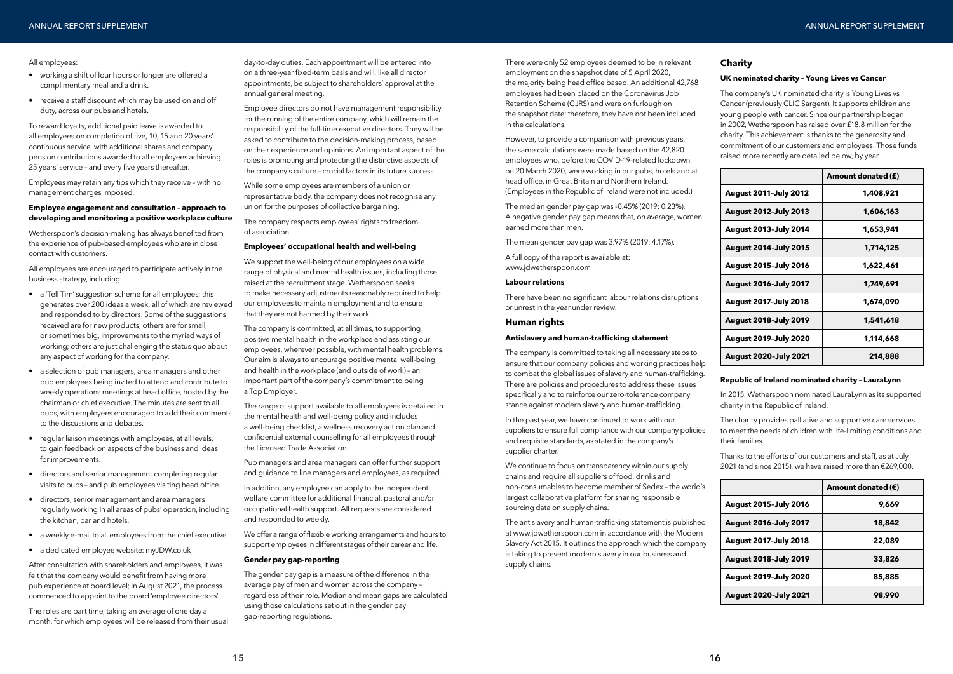#### All employees:

- working a shift of four hours or longer are offered a complimentary meal and a drink.
- receive a staff discount which may be used on and off duty, across our pubs and hotels.

To reward loyalty, additional paid leave is awarded to all employees on completion of five, 10, 15 and 20 years' continuous service, with additional shares and company pension contributions awarded to all employees achieving 25 years' service – and every five years thereafter.

Employees may retain any tips which they receive – with no management charges imposed.

### **Employee engagement and consultation – approach to developing and monitoring a positive workplace culture**

Wetherspoon's decision-making has always benefited from the experience of pub-based employees who are in close contact with customers.

All employees are encouraged to participate actively in the business strategy, including:

- a 'Tell Tim' suggestion scheme for all employees; this generates over 200 ideas a week, all of which are reviewed and responded to by directors. Some of the suggestions received are for new products; others are for small, or sometimes big, improvements to the myriad ways of working; others are just challenging the status quo about any aspect of working for the company.
- a selection of pub managers, area managers and other pub employees being invited to attend and contribute to weekly operations meetings at head office, hosted by the chairman or chief executive. The minutes are sent to all pubs, with employees encouraged to add their comments to the discussions and debates.
- regular liaison meetings with employees, at all levels, to gain feedback on aspects of the business and ideas for improvements.
- directors and senior management completing regular visits to pubs – and pub employees visiting head office.
- directors, senior management and area managers regularly working in all areas of pubs' operation, including the kitchen, bar and hotels.
- a weekly e-mail to all employees from the chief executive.
- a dedicated employee website: myJDW.co.uk

After consultation with shareholders and employees, it was felt that the company would benefit from having more pub experience at board level; in August 2021, the process commenced to appoint to the board 'employee directors'.

The roles are part time, taking an average of one day a month, for which employees will be released from their usual day-to-day duties. Each appointment will be entered into on a three-year fixed-term basis and will, like all director appointments, be subject to shareholders' approval at the annual general meeting.

Employee directors do not have management responsibility for the running of the entire company, which will remain the responsibility of the full-time executive directors. They will be asked to contribute to the decision-making process, based on their experience and opinions. An important aspect of the roles is promoting and protecting the distinctive aspects of the company's culture – crucial factors in its future success.

While some employees are members of a union or representative body, the company does not recognise any union for the purposes of collective bargaining.

The company respects employees' rights to freedom of association.

#### **Employees' occupational health and well-being**

We continue to focus on transparency within our supply chains and require all suppliers of food, drinks and non-consumables to become member of Sedex – the world's largest collaborative platform for sharing responsible sourcing data on supply chains.

We support the well-being of our employees on a wide range of physical and mental health issues, including those raised at the recruitment stage. Wetherspoon seeks to make necessary adjustments reasonably required to help our employees to maintain employment and to ensure that they are not harmed by their work.

The company is committed, at all times, to supporting positive mental health in the workplace and assisting our employees, wherever possible, with mental health problems. Our aim is always to encourage positive mental well-being and health in the workplace (and outside of work) – an important part of the company's commitment to being a Top Employer.

The range of support available to all employees is detailed in the mental health and well-being policy and includes a well-being checklist, a wellness recovery action plan and confidential external counselling for all employees through the Licensed Trade Association.

Pub managers and area managers can offer further support and guidance to line managers and employees, as required.

In addition, any employee can apply to the independent welfare committee for additional financial, pastoral and/or occupational health support. All requests are considered and responded to weekly.

We offer a range of flexible working arrangements and hours to support employees in different stages of their career and life.

#### **Gender pay gap-reporting**

The gender pay gap is a measure of the difference in the average pay of men and women across the company – regardless of their role. Median and mean gaps are calculated using those calculations set out in the gender pay gap-reporting regulations.

There were only 52 employees deemed to be in relevant employment on the snapshot date of 5 April 2020, the majority being head office based. An additional 42,768 employees had been placed on the Coronavirus Job Retention Scheme (CJRS) and were on furlough on the snapshot date; therefore, they have not been included in the calculations.

However, to provide a comparison with previous years, the same calculations were made based on the 42,820 employees who, before the COVID-19-related lockdown on 20 March 2020, were working in our pubs, hotels and at head office, in Great Britain and Northern Ireland. (Employees in the Republic of Ireland were not included.)

The median gender pay gap was -0.45% (2019: 0.23%). A negative gender pay gap means that, on average, women earned more than men.

The mean gender pay gap was 3.97% (2019: 4.17%).

A full copy of the report is available at: www.jdwetherspoon.com

### **Labour relations**

There have been no significant labour relations disruptions or unrest in the year under review.

### **Human rights**

### **Antislavery and human-trafficking statement**

The company is committed to taking all necessary steps to ensure that our company policies and working practices help to combat the global issues of slavery and human-trafficking. There are policies and procedures to address these issues specifically and to reinforce our zero-tolerance company stance against modern slavery and human-trafficking.

In the past year, we have continued to work with our suppliers to ensure full compliance with our company policies and requisite standards, as stated in the company's supplier charter.

The antislavery and human-trafficking statement is published at www.jdwetherspoon.com in accordance with the Modern Slavery Act 2015. It outlines the approach which the company is taking to prevent modern slavery in our business and supply chains.

### **Charity**

### **UK nominated charity – Young Lives vs Cancer**

The company's UK nominated charity is Young Lives vs Cancer (previously CLIC Sargent). It supports children and young people with cancer. Since our partnership began in 2002, Wetherspoon has raised over £18.8 million for the charity. This achievement is thanks to the generosity and commitment of our customers and employees. Those funds raised more recently are detailed below, by year.

### **Republic of Ireland nominated charity – LauraLynn**

In 2015, Wetherspoon nominated LauraLynn as its supported charity in the Republic of Ireland.

The charity provides palliative and supportive care services to meet the needs of children with life-limiting conditions and their families.

Thanks to the efforts of our customers and staff, as at July 2021 (and since 2015), we have raised more than €269,000.

|                              | Amount donated (£) |
|------------------------------|--------------------|
| <b>August 2011-July 2012</b> | 1,408,921          |
| <b>August 2012-July 2013</b> | 1,606,163          |
| <b>August 2013-July 2014</b> | 1,653,941          |
| <b>August 2014-July 2015</b> | 1,714,125          |
| <b>August 2015-July 2016</b> | 1,622,461          |
| <b>August 2016-July 2017</b> | 1,749,691          |
| <b>August 2017-July 2018</b> | 1,674,090          |
| <b>August 2018-July 2019</b> | 1,541,618          |
| <b>August 2019-July 2020</b> | 1,114,668          |
| <b>August 2020-July 2021</b> | 214,888            |

|                              | Amount donated $(\epsilon)$ |
|------------------------------|-----------------------------|
| <b>August 2015-July 2016</b> | 9.669                       |
| <b>August 2016-July 2017</b> | 18,842                      |
| <b>August 2017-July 2018</b> | 22,089                      |
| <b>August 2018-July 2019</b> | 33,826                      |
| <b>August 2019-July 2020</b> | 85,885                      |
| <b>August 2020-July 2021</b> | 98,990                      |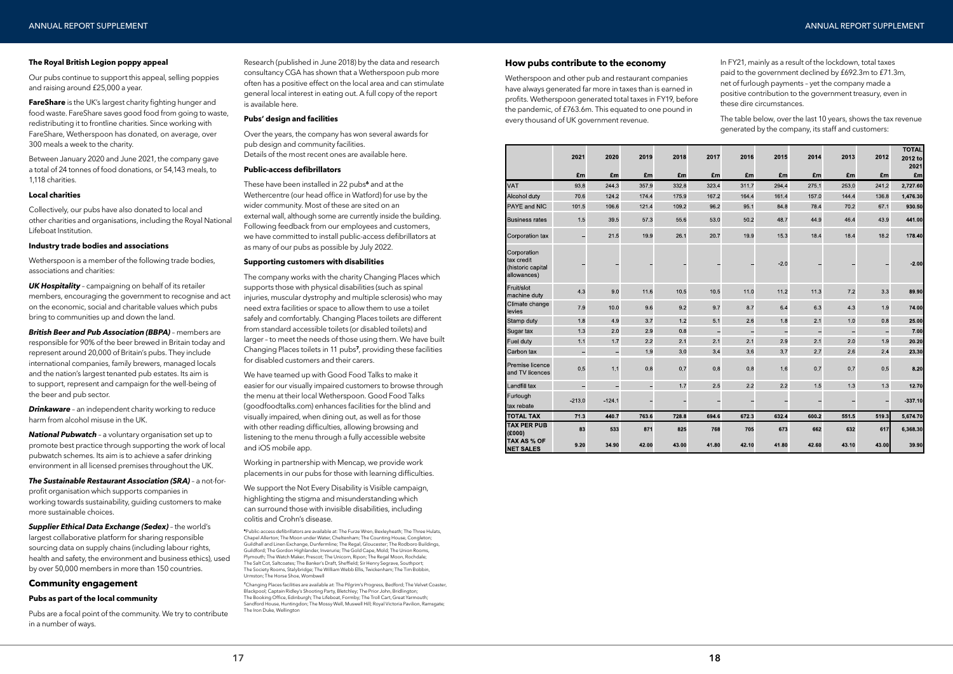### **The Royal British Legion poppy appeal**

Our pubs continue to support this appeal, selling poppies and raising around £25,000 a year.

**FareShare** is the UK's largest charity fighting hunger and food waste. FareShare saves good food from going to waste, redistributing it to frontline charities. Since working with FareShare, Wetherspoon has donated, on average, over 300 meals a week to the charity.

Between January 2020 and June 2021, the company gave a total of 24 tonnes of food donations, or 54,143 meals, to 1,118 charities.

### **Local charities**

Collectively, our pubs have also donated to local and other charities and organisations, including the Royal National Lifeboat Institution.

### **Industry trade bodies and associations**

*Drinkaware* - an independent charity working to reduce harm from alcohol misuse in the UK.

Wetherspoon is a member of the following trade bodies, associations and charities:

*UK Hospitality* – campaigning on behalf of its retailer members, encouraging the government to recognise and act on the economic, social and charitable values which pubs bring to communities up and down the land.

*British Beer and Pub Association (BBPA)* – members are responsible for 90% of the beer brewed in Britain today and represent around 20,000 of Britain's pubs. They include international companies, family brewers, managed locals and the nation's largest tenanted pub estates. Its aim is to support, represent and campaign for the well-being of the beer and pub sector.

*National Pubwatch* – a voluntary organisation set up to promote best practice through supporting the work of local pubwatch schemes. Its aim is to achieve a safer drinking environment in all licensed premises throughout the UK.

*The Sustainable Restaurant Association (SRA)* – a not-forprofit organisation which supports companies in working towards sustainability, guiding customers to make more sustainable choices.

*Supplier Ethical Data Exchange (Sedex)* – the world's largest collaborative platform for sharing responsible sourcing data on supply chains (including labour rights, health and safety, the environment and business ethics), used by over 50,000 members in more than 150 countries.

### **Community engagement**

### **Pubs as part of the local community**

Pubs are a focal point of the community. We try to contribute in a number of ways.

Research (published in June 2018) by the data and research consultancy CGA has shown that a Wetherspoon pub more often has a positive effect on the local area and can stimulate general local interest in eating out. A full copy of the report is available here.

**<sup>7</sup>**Changing Places facilities are available at: The Pilgrim's Progress, Bedford; The Velvet Coaster, Blackpool; Captain Ridley's Shooting Party, Bletchley; The Prior John, Bridlington; The Booking Office, Edinburgh; The Lifeboat, Formby; The Troll Cart, Great Yarmouth; Sandford House, Huntingdon; The Mossy Well, Muswell Hill; Royal Victoria Pavilion, Ramsgate; The Iron Duke, Wellington

### **Pubs' design and facilities**

Over the years, the company has won several awards for pub design and community facilities. Details of the most recent ones are available here.

### **Public-access defibrillators**

Wetherspoon and other pub and restaurant companies have always generated far more in taxes than is earned in profits. Wetherspoon generated total taxes in FY19, before the pandemic, of £763.6m. This equated to one pound in every thousand of UK government revenue.

|                                                               | 2021 | 2020  | 2019                     | 2018  | 2017  | 2016  | 2015  | 2014  | 2013  | 2012  | <b>TOTAL</b><br>2012 to |
|---------------------------------------------------------------|------|-------|--------------------------|-------|-------|-------|-------|-------|-------|-------|-------------------------|
|                                                               |      |       |                          |       |       |       |       |       |       |       | 2021                    |
|                                                               | £m   | £m    | £m                       | £m    | £m    | £m    | £m    | £m    | £m    | £m    | £m                      |
| <b>VAT</b>                                                    | 938  | 244 3 | 357.9                    | 332.8 | 323.4 | 3117  | 294 4 | 275 1 | 253.0 | 2412  | 2,727 60                |
| Alcohol duty                                                  | 70.6 | 124.2 | 1744                     | 1759  | 167.2 | 164.4 | 1614  | 157.0 | 1444  | 136.8 | 1,476.30                |
| <b>PAYE</b> and NIC                                           | 1015 | 106.6 | 1214                     | 109.2 | 962   | 95.1  | 848   | 784   | 70.2  | 67.1  | 930.50                  |
| <b>Business rates</b>                                         | 15   | 395   | 573                      | 556   | 53.0  | 502   | 48.7  | 449   | 464   | 43.9  | 441.00                  |
| Corporation tax                                               |      | 215   | 199                      | 26.1  | 207   | 199   | 153   | 184   | 184   | 182   | 178.40                  |
| Corporation<br>tax credit<br>(historic capital<br>allowances) |      |       |                          |       |       |       | 20    |       |       |       | $-2.00$                 |
| Fruit/slot<br>machine duty                                    | 4.3  | 9.0   | 11.6                     | 10.5  | 10.5  | 11.0  | 11.2  | 11.3  | 7.2   | 3.3   | 89.90                   |
| Climate change<br>levies                                      | 79   | 10.0  | 96                       | 9.2   | 9.7   | 8.7   | 6.4   | 63    | 4.3   | 1.9   | 74.00                   |
| Stamp duty                                                    | 1.8  | 4.9   | 3.7                      | 1.2   | 5.1   | 2.6   | 1.8   | 2.1   | 1.0   | 0.8   | 25.00                   |
| Sugar tax                                                     | 1.3  | 2.0   | 29                       | 0.8   | ÷     |       |       | -     |       | -     | 7.00                    |
| <b>Fuel duty</b>                                              | 1.1  | 1.7   | 2.2                      | 2.1   | 2.1   | 2.1   | 2.9   | 2.1   | 2.0   | 1.9   | 20.20                   |
| Carbon tax                                                    |      |       | 1.9                      | 3.0   | 3.4   | 3.6   | 3.7   | 2.7   | 2.6   | 2.4   | 23.30                   |
| Premise licence<br>and TV licences                            | 0.5  | 1.1   | 0.8                      | 0.7   | 0.8   | 0.8   | 16    | 0.7   | 0.7   | 0.5   | 8.20                    |
| Landfill tax                                                  |      |       | $\overline{\phantom{0}}$ | 1.7   | 2.5   | 2.2   | 2.2   | 1.5   | 1.3   | 1.3   | 12.70                   |
| Furlough<br>tax rebate                                        | 2130 | 124.1 |                          |       |       |       |       |       |       |       | 337.10                  |
| <b>TOTAL TAX</b>                                              | 713  | 440.7 | 763.6                    | 728.8 | 694.6 | 672.3 | 632.4 | 600.2 | 551.5 | 519.3 | 5,674.70                |
| <b>TAX PER PUB</b><br>(E000)                                  | 83   | 533   | 871                      | 825   | 768   | 705   | 673   | 662   | 632   | 617   | 6,368 30                |
| <b>TAX AS % OF</b><br><b>NET SALES</b>                        | 9.20 | 34.90 | 42.00                    | 43.00 | 41.80 | 42.10 | 41.80 | 42.60 | 43.10 | 43.00 | 39.90                   |

These have been installed in 22 pubs**<sup>6</sup>** and at the Wethercentre (our head office in Watford) for use by the wider community. Most of these are sited on an external wall, although some are currently inside the building. Following feedback from our employees and customers, we have committed to install public-access defibrillators at as many of our pubs as possible by July 2022.

### **Supporting customers with disabilities**

The company works with the charity Changing Places which supports those with physical disabilities (such as spinal injuries, muscular dystrophy and multiple sclerosis) who may need extra facilities or space to allow them to use a toilet safely and comfortably. Changing Places toilets are different from standard accessible toilets (or disabled toilets) and larger – to meet the needs of those using them. We have built Changing Places toilets in 11 pubs**<sup>7</sup>**, providing these facilities for disabled customers and their carers.

We have teamed up with Good Food Talks to make it easier for our visually impaired customers to browse through the menu at their local Wetherspoon. Good Food Talks (goodfoodtalks.com) enhances facilities for the blind and visually impaired, when dining out, as well as for those with other reading difficulties, allowing browsing and listening to the menu through a fully accessible website and iOS mobile app.

Working in partnership with Mencap, we provide work placements in our pubs for those with learning difficulties.

We support the Not Every Disability is Visible campaign, highlighting the stigma and misunderstanding which can surround those with invisible disabilities, including colitis and Crohn's disease.

**<sup>6</sup>**Public-access defibrillators are available at: The Furze Wren, Bexleyheath; The Three Hulats, Chapel Allerton; The Moon under Water, Cheltenham; The Counting House, Congleton; Guildhall and Linen Exchange, Dunfermline; The Regal, Gloucester; The Rodboro Buildings, Guildford; The Gordon Highlander, Inverurie; The Gold Cape, Mold; The Union Rooms, Plymouth; The Watch Maker, Prescot; The Unicorn, Ripon; The Regal Moon, Rochdale; The Salt Cot, Saltcoates; The Banker's Draft, Sheffield; Sir Henry Segrave, Southport; The Society Rooms, Stalybridge; The William Webb Ellis, Twickenham; The Tim Bobbin, Urmston; The Horse Shoe, Wombwell

### **How pubs contribute to the economy**

In FY21, mainly as a result of the lockdown, total taxes paid to the government declined by £692.3m to £71.3m, net of furlough payments – yet the company made a positive contribution to the government treasury, even in these dire circumstances.

The table below, over the last 10 years, shows the tax revenue generated by the company, its staff and customers: